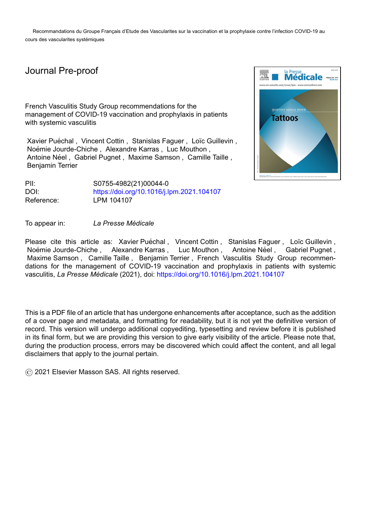Recommandations du Groupe Français d'Etude des Vascularites sur la vaccination et la prophylaxie contre l'infection COVID-19 au cours des vascularites systémiques

# Journal Pre-proof

French Vasculitis Study Group recommendations for the management of COVID-19 vaccination and prophylaxis in patients with systemic vasculitis

Xavier Puéchal, Vincent Cottin, Stanislas Faguer, Loïc Guillevin, Noémie Jourde-Chiche, Alexandre Karras, Luc Mouthon, Antoine Néel, Gabriel Pugnet, Maxime Samson, Camille Taille, Benjamin Terrier

PII: S0755-4982(21)00044-0 DOI: <https://doi.org/10.1016/j.lpm.2021.104107> Reference: LPM 104107

To appear in: *La Presse Medicale ´*

Please cite this article as: Xavier Puéchal, Vincent Cottin, Stanislas Faguer, Loïc Guillevin, Noémie Jourde-Chiche , Alexandre Karras , Luc Mouthon , Antoine Néel , Gabriel Pugnet , Maxime Samson , Camille Taille , Benjamin Terrier , French Vasculitis Study Group recommendations for the management of COVID-19 vaccination and prophylaxis in patients with systemic vasculitis, *La Presse Medicale ´* (2021), doi: <https://doi.org/10.1016/j.lpm.2021.104107>

This is a PDF file of an article that has undergone enhancements after acceptance, such as the addition of a cover page and metadata, and formatting for readability, but it is not yet the definitive version of record. This version will undergo additional copyediting, typesetting and review before it is published in its final form, but we are providing this version to give early visibility of the article. Please note that, during the production process, errors may be discovered which could affect the content, and all legal disclaimers that apply to the journal pertain.

© 2021 Elsevier Masson SAS. All rights reserved.

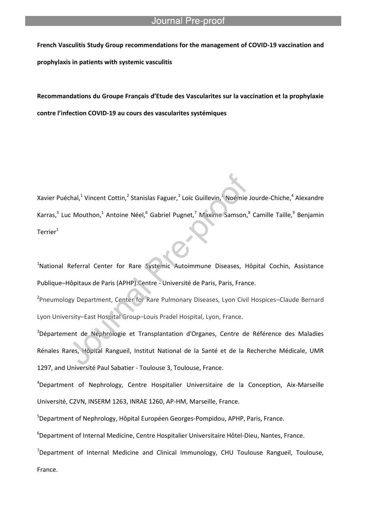**French Vasculitis Study Group recommendations for the management of COVID-19 vaccination and prophylaxis in patients with systemic vasculitis**

l

**Recommandations du Groupe Français d'Etude des Vascularites sur la vaccination et la prophylaxie contre l'infection COVID-19 au cours des vascularites systémiques**

Xavier Puéchal,<sup>1</sup> Vincent Cottin,<sup>2</sup> Stanislas Faguer,<sup>3</sup> Loïc Guillevin,<sup>1</sup> Noémie Jourde-Chiche,<sup>4</sup> Alexandre Karras,<sup>5</sup> Luc Mouthon,<sup>1</sup> Antoine Néel,<sup>6</sup> Gabriel Pugnet,<sup>7</sup> Maxime Samson,<sup>8</sup> Camille Taille,<sup>9</sup> Benjamin Terrier $1$ 

<sup>1</sup>National Referral Center for Rare Systemic Autoimmune Diseases, Hôpital Cochin, Assistance Publique–Hôpitaux de Paris (APHP).Centre - Université de Paris, Paris, France.

<sup>2</sup>Pneumology Department, Center for Rare Pulmonary Diseases, Lyon Civil Hospices-Claude Bernard Lyon University–East Hospital Group–Louis Pradel Hospital, Lyon, France.

<sup>3</sup>Département de Néphrologie et Transplantation d'Organes, Centre de Référence des Maladies Rénales Rares, Hôpital Rangueil, Institut National de la Santé et de la Recherche Médicale, UMR 1297, and Université Paul Sabatier - Toulouse 3, Toulouse, France.

<sup>4</sup>Department of Nephrology, Centre Hospitalier Universitaire de la Conception, Aix-Marseille Université, C2VN, INSERM 1263, INRAE 1260, AP-HM, Marseille, France.

<sup>5</sup>Department of Nephrology, Hôpital Européen Georges-Pompidou, APHP, Paris, France.

<sup>6</sup>Department of Internal Medicine, Centre Hospitalier Universitaire Hôtel-Dieu, Nantes, France.

 $7$ Department of Internal Medicine and Clinical Immunology, CHU Toulouse Rangueil, Toulouse, France.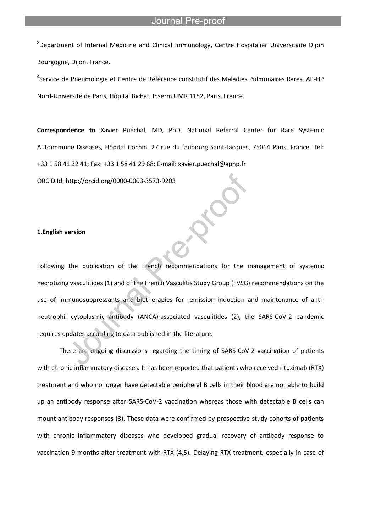<sup>8</sup>Department of Internal Medicine and Clinical Immunology, Centre Hospitalier Universitaire Dijon Bourgogne, Dijon, France.

l

<sup>9</sup>Service de Pneumologie et Centre de Référence constitutif des Maladies Pulmonaires Rares, AP-HP Nord-Université de Paris, Hôpital Bichat, Inserm UMR 1152, Paris, France.

**Correspondence to** Xavier Puéchal, MD, PhD, National Referral Center for Rare Systemic Autoimmune Diseases, Hôpital Cochin, 27 rue du faubourg Saint-Jacques, 75014 Paris, France. Tel: +33 1 58 41 32 41; Fax: +33 1 58 41 29 68; E-mail: xavier.puechal@aphp.fr

ORCID Id: http://orcid.org/0000-0003-3573-9203

### **1.English version**

Following the publication of the French recommendations for the management of systemic necrotizing vasculitides (1) and of the French Vasculitis Study Group (FVSG) recommendations on the use of immunosuppressants and biotherapies for remission induction and maintenance of antineutrophil cytoplasmic antibody (ANCA)-associated vasculitides (2), the SARS-CoV-2 pandemic requires updates according to data published in the literature.

There are ongoing discussions regarding the timing of SARS-CoV-2 vaccination of patients with chronic inflammatory diseases. It has been reported that patients who received rituximab (RTX) treatment and who no longer have detectable peripheral B cells in their blood are not able to build up an antibody response after SARS-CoV-2 vaccination whereas those with detectable B cells can mount antibody responses (3). These data were confirmed by prospective study cohorts of patients with chronic inflammatory diseases who developed gradual recovery of antibody response to vaccination 9 months after treatment with RTX (4,5). Delaying RTX treatment, especially in case of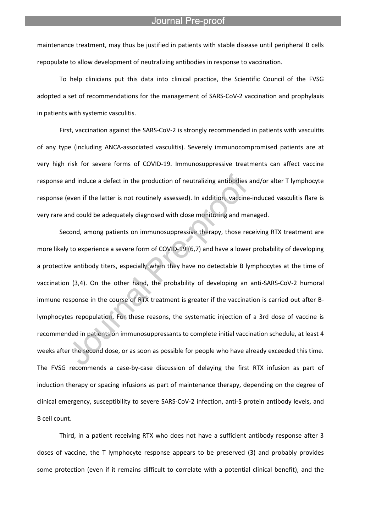maintenance treatment, may thus be justified in patients with stable disease until peripheral B cells repopulate to allow development of neutralizing antibodies in response to vaccination.

l

To help clinicians put this data into clinical practice, the Scientific Council of the FVSG adopted a set of recommendations for the management of SARS-CoV-2 vaccination and prophylaxis in patients with systemic vasculitis.

First, vaccination against the SARS-CoV-2 is strongly recommended in patients with vasculitis of any type (including ANCA-associated vasculitis). Severely immunocompromised patients are at very high risk for severe forms of COVID-19. Immunosuppressive treatments can affect vaccine response and induce a defect in the production of neutralizing antibodies and/or alter T lymphocyte response (even if the latter is not routinely assessed). In addition, vaccine-induced vasculitis flare is very rare and could be adequately diagnosed with close monitoring and managed.

Second, among patients on immunosuppressive therapy, those receiving RTX treatment are more likely to experience a severe form of COVID-19 (6,7) and have a lower probability of developing a protective antibody titers, especially when they have no detectable B lymphocytes at the time of vaccination (3,4). On the other hand, the probability of developing an anti-SARS-CoV-2 humoral immune response in the course of RTX treatment is greater if the vaccination is carried out after Blymphocytes repopulation. For these reasons, the systematic injection of a 3rd dose of vaccine is recommended in patients on immunosuppressants to complete initial vaccination schedule, at least 4 weeks after the second dose, or as soon as possible for people who have already exceeded this time. The FVSG recommends a case-by-case discussion of delaying the first RTX infusion as part of induction therapy or spacing infusions as part of maintenance therapy, depending on the degree of clinical emergency, susceptibility to severe SARS-CoV-2 infection, anti-S protein antibody levels, and B cell count.

Third, in a patient receiving RTX who does not have a sufficient antibody response after 3 doses of vaccine, the T lymphocyte response appears to be preserved (3) and probably provides some protection (even if it remains difficult to correlate with a potential clinical benefit), and the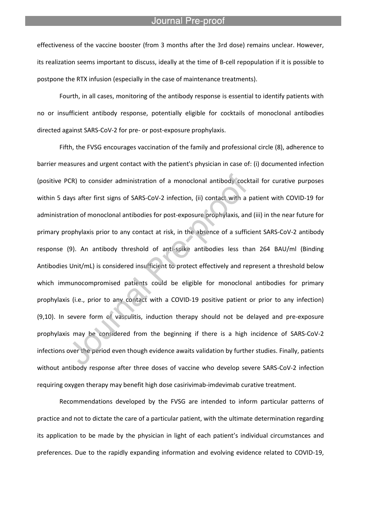effectiveness of the vaccine booster (from 3 months after the 3rd dose) remains unclear. However, its realization seems important to discuss, ideally at the time of B-cell repopulation if it is possible to postpone the RTX infusion (especially in the case of maintenance treatments).

l

Fourth, in all cases, monitoring of the antibody response is essential to identify patients with no or insufficient antibody response, potentially eligible for cocktails of monoclonal antibodies directed against SARS-CoV-2 for pre- or post-exposure prophylaxis.

Fifth, the FVSG encourages vaccination of the family and professional circle (8), adherence to barrier measures and urgent contact with the patient's physician in case of: (i) documented infection (positive PCR) to consider administration of a monoclonal antibody cocktail for curative purposes within 5 days after first signs of SARS-CoV-2 infection, (ii) contact with a patient with COVID-19 for administration of monoclonal antibodies for post-exposure prophylaxis, and (iii) in the near future for primary prophylaxis prior to any contact at risk, in the absence of a sufficient SARS-CoV-2 antibody response (9). An antibody threshold of anti-spike antibodies less than 264 BAU/ml (Binding Antibodies Unit/mL) is considered insufficient to protect effectively and represent a threshold below which immunocompromised patients could be eligible for monoclonal antibodies for primary prophylaxis (i.e., prior to any contact with a COVID-19 positive patient or prior to any infection) (9,10). In severe form of vasculitis, induction therapy should not be delayed and pre-exposure prophylaxis may be considered from the beginning if there is a high incidence of SARS-CoV-2 infections over the period even though evidence awaits validation by further studies. Finally, patients without antibody response after three doses of vaccine who develop severe SARS-CoV-2 infection requiring oxygen therapy may benefit high dose casirivimab-imdevimab curative treatment.

Recommendations developed by the FVSG are intended to inform particular patterns of practice and not to dictate the care of a particular patient, with the ultimate determination regarding its application to be made by the physician in light of each patient's individual circumstances and preferences. Due to the rapidly expanding information and evolving evidence related to COVID-19,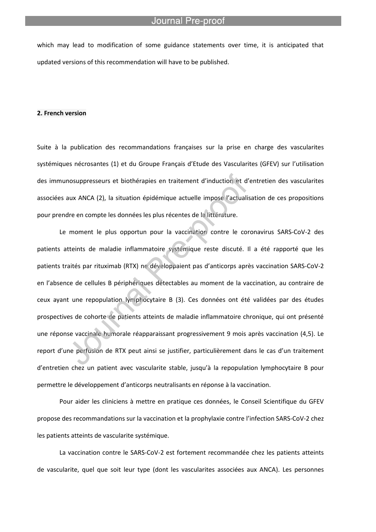which may lead to modification of some guidance statements over time, it is anticipated that updated versions of this recommendation will have to be published.

l

#### **2. French version**

Suite à la publication des recommandations françaises sur la prise en charge des vascularites systémiques nécrosantes (1) et du Groupe Français d'Etude des Vascularites (GFEV) sur l'utilisation des immunosuppresseurs et biothérapies en traitement d'induction et d'entretien des vascularites associées aux ANCA (2), la situation épidémique actuelle impose l'actualisation de ces propositions pour prendre en compte les données les plus récentes de la littérature.

Le moment le plus opportun pour la vaccination contre le coronavirus SARS-CoV-2 des patients atteints de maladie inflammatoire systémique reste discuté. Il a été rapporté que les patients traités par rituximab (RTX) ne développaient pas d'anticorps après vaccination SARS-CoV-2 en l'absence de cellules B périphériques détectables au moment de la vaccination, au contraire de ceux ayant une repopulation lymphocytaire B (3). Ces données ont été validées par des études prospectives de cohorte de patients atteints de maladie inflammatoire chronique, qui ont présenté une réponse vaccinale humorale réapparaissant progressivement 9 mois après vaccination (4,5). Le report d'une perfusion de RTX peut ainsi se justifier, particulièrement dans le cas d'un traitement d'entretien chez un patient avec vascularite stable, jusqu'à la repopulation lymphocytaire B pour permettre le développement d'anticorps neutralisants en réponse à la vaccination.

Pour aider les cliniciens à mettre en pratique ces données, le Conseil Scientifique du GFEV propose des recommandations sur la vaccination et la prophylaxie contre l'infection SARS-CoV-2 chez les patients atteints de vascularite systémique.

La vaccination contre le SARS-CoV-2 est fortement recommandée chez les patients atteints de vascularite, quel que soit leur type (dont les vascularites associées aux ANCA). Les personnes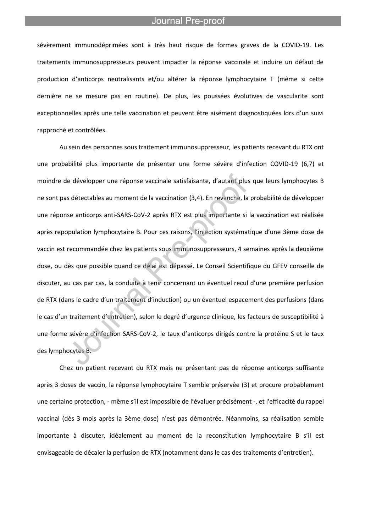l

sévèrement immunodéprimées sont à très haut risque de formes graves de la COVID-19. Les traitements immunosuppresseurs peuvent impacter la réponse vaccinale et induire un défaut de production d'anticorps neutralisants et/ou altérer la réponse lymphocytaire T (même si cette dernière ne se mesure pas en routine). De plus, les poussées évolutives de vascularite sont exceptionnelles après une telle vaccination et peuvent être aisément diagnostiquées lors d'un suivi rapproché et contrôlées.

Au sein des personnes sous traitement immunosuppresseur, les patients recevant du RTX ont une probabilité plus importante de présenter une forme sévère d'infection COVID-19 (6,7) et moindre de développer une réponse vaccinale satisfaisante, d'autant plus que leurs lymphocytes B ne sont pas détectables au moment de la vaccination (3,4). En revanche, la probabilité de développer une réponse anticorps anti-SARS-CoV-2 après RTX est plus importante si la vaccination est réalisée après repopulation lymphocytaire B. Pour ces raisons, l'injection systématique d'une 3ème dose de vaccin est recommandée chez les patients sous immunosuppresseurs, 4 semaines après la deuxième dose, ou dès que possible quand ce délai est dépassé. Le Conseil Scientifique du GFEV conseille de discuter, au cas par cas, la conduite à tenir concernant un éventuel recul d'une première perfusion de RTX (dans le cadre d'un traitement d'induction) ou un éventuel espacement des perfusions (dans le cas d'un traitement d'entretien), selon le degré d'urgence clinique, les facteurs de susceptibilité à une forme sévère d'infection SARS-CoV-2, le taux d'anticorps dirigés contre la protéine S et le taux des lymphocytes B.

Chez un patient recevant du RTX mais ne présentant pas de réponse anticorps suffisante après 3 doses de vaccin, la réponse lymphocytaire T semble préservée (3) et procure probablement une certaine protection, - même s'il est impossible de l'évaluer précisément -, et l'efficacité du rappel vaccinal (dès 3 mois après la 3ème dose) n'est pas démontrée. Néanmoins, sa réalisation semble importante à discuter, idéalement au moment de la reconstitution lymphocytaire B s'il est envisageable de décaler la perfusion de RTX (notamment dans le cas des traitements d'entretien).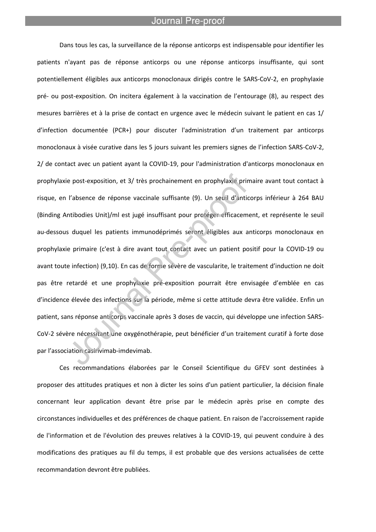l

Dans tous les cas, la surveillance de la réponse anticorps est indispensable pour identifier les patients n'ayant pas de réponse anticorps ou une réponse anticorps insuffisante, qui sont potentiellement éligibles aux anticorps monoclonaux dirigés contre le SARS-CoV-2, en prophylaxie pré- ou post-exposition. On incitera également à la vaccination de l'entourage (8), au respect des mesures barrières et à la prise de contact en urgence avec le médecin suivant le patient en cas 1/ d'infection documentée (PCR+) pour discuter l'administration d'un traitement par anticorps monoclonaux à visée curative dans les 5 jours suivant les premiers signes de l'infection SARS-CoV-2, 2/ de contact avec un patient ayant la COVID-19, pour l'administration d'anticorps monoclonaux en prophylaxie post-exposition, et 3/ très prochainement en prophylaxie primaire avant tout contact à risque, en l'absence de réponse vaccinale suffisante (9). Un seuil d'anticorps inférieur à 264 BAU (Binding Antibodies Unit)/ml est jugé insuffisant pour protéger efficacement, et représente le seuil au-dessous duquel les patients immunodéprimés seront éligibles aux anticorps monoclonaux en prophylaxie primaire (c'est à dire avant tout contact avec un patient positif pour la COVID-19 ou avant toute infection) (9,10). En cas de forme sévère de vascularite, le traitement d'induction ne doit pas être retardé et une prophylaxie pré-exposition pourrait être envisagée d'emblée en cas d'incidence élevée des infections sur la période, même si cette attitude devra être validée. Enfin un patient, sans réponse anticorps vaccinale après 3 doses de vaccin, qui développe une infection SARS-CoV-2 sévère nécessitant une oxygénothérapie, peut bénéficier d'un traitement curatif à forte dose par l'association casirivimab-imdevimab.

Ces recommandations élaborées par le Conseil Scientifique du GFEV sont destinées à proposer des attitudes pratiques et non à dicter les soins d'un patient particulier, la décision finale concernant leur application devant être prise par le médecin après prise en compte des circonstances individuelles et des préférences de chaque patient. En raison de l'accroissement rapide de l'information et de l'évolution des preuves relatives à la COVID-19, qui peuvent conduire à des modifications des pratiques au fil du temps, il est probable que des versions actualisées de cette recommandation devront être publiées.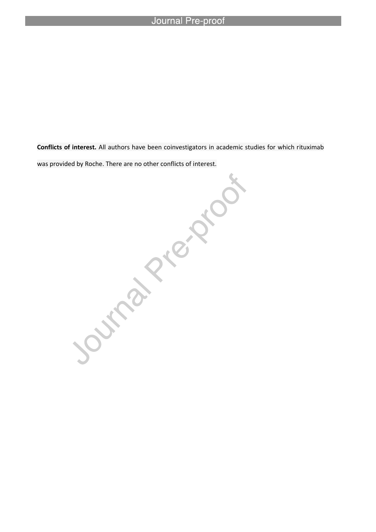was provided by Roche. There are no other conflicts of interest.

l

**Conflicts of interest.** All authors have been coinvestigators in academic studies for which rituximab<br>was provided by Roche. There are no other conflicts of interest.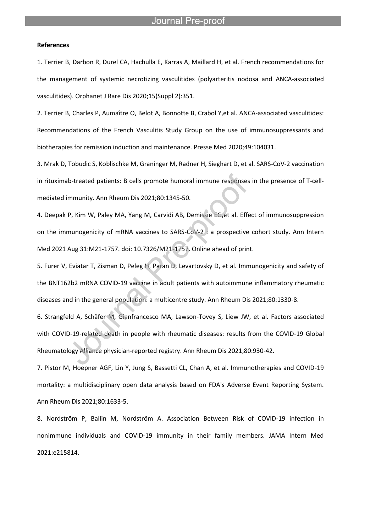l

#### **References**

1. Terrier B, Darbon R, Durel CA, Hachulla E, Karras A, Maillard H, et al. French recommendations for the management of systemic necrotizing vasculitides (polyarteritis nodosa and ANCA-associated vasculitides). Orphanet J Rare Dis 2020;15(Suppl 2):351.

2. Terrier B, Charles P, Aumaître O, Belot A, Bonnotte B, Crabol Y,et al. ANCA-associated vasculitides: Recommendations of the French Vasculitis Study Group on the use of immunosuppressants and biotherapies for remission induction and maintenance. Presse Med 2020;49:104031.

3. Mrak D, Tobudic S, Koblischke M, Graninger M, Radner H, Sieghart D, et al. SARS-CoV-2 vaccination in rituximab-treated patients: B cells promote humoral immune responses in the presence of T-cellmediated immunity. Ann Rheum Dis 2021;80:1345-50.

4. Deepak P, Kim W, Paley MA, Yang M, Carvidi AB, Demissie EG,et al. Effect of immunosuppression on the immunogenicity of mRNA vaccines to SARS-CoV-2 : a prospective cohort study. Ann Intern Med 2021 Aug 31:M21-1757. doi: 10.7326/M21-1757. Online ahead of print.

5. Furer V, Eviatar T, Zisman D, Peleg H, Paran D, Levartovsky D, et al. Immunogenicity and safety of the BNT162b2 mRNA COVID-19 vaccine in adult patients with autoimmune inflammatory rheumatic diseases and in the general population: a multicentre study. Ann Rheum Dis 2021;80:1330-8.

6. Strangfeld A, Schäfer M, Gianfrancesco MA, Lawson-Tovey S, Liew JW, et al. Factors associated with COVID-19-related death in people with rheumatic diseases: results from the COVID-19 Global Rheumatology Alliance physician-reported registry. Ann Rheum Dis 2021;80:930-42.

7. Pistor M, Hoepner AGF, Lin Y, Jung S, Bassetti CL, Chan A, et al. Immunotherapies and COVID-19 mortality: a multidisciplinary open data analysis based on FDA's Adverse Event Reporting System. Ann Rheum Dis 2021;80:1633-5.

8. Nordström P, Ballin M, Nordström A. Association Between Risk of COVID-19 infection in nonimmune individuals and COVID-19 immunity in their family members. JAMA Intern Med 2021:e215814.